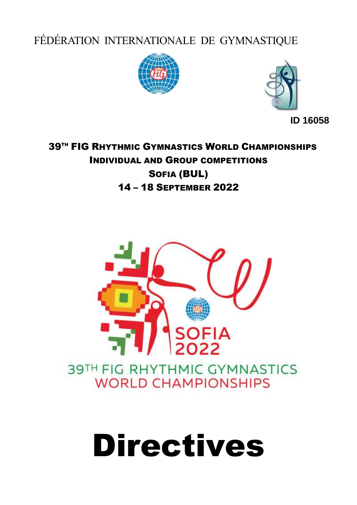FÉDÉRATION INTERNATIONALE DE GYMNASTIQUE





**ID 16058**

# **39TH FIG RHYTHMIC GYMNASTICS WORLD CHAMPIONSHIPS** INDIVIDUAL AND GROUP COMPETITIONS SOFIA (BUL) 14 – 18 SEPTEMBER 2022



# Directives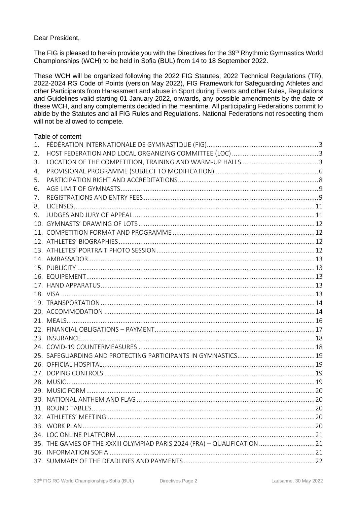# Dear President.

The FIG is pleased to herein provide you with the Directives for the 39<sup>th</sup> Rhythmic Gymnastics World Championships (WCH) to be held in Sofia (BUL) from 14 to 18 September 2022.

These WCH will be organized following the 2022 FIG Statutes, 2022 Technical Regulations (TR), 2022-2024 RG Code of Points (version May 2022), FIG Framework for Safeguarding Athletes and other Participants from Harassment and abuse in Sport during Events and other Rules, Regulations and Guidelines valid starting 01 January 2022, onwards, any possible amendments by the date of these WCH, and any complements decided in the meantime. All participating Federations commit to abide by the Statutes and all FIG Rules and Regulations. National Federations not respecting them will not be allowed to compete.

# Table of content

| 35. THE GAMES OF THE XXXIII OLYMPIAD PARIS 2024 (FRA) - QUALIFICATION  21 |
|---------------------------------------------------------------------------|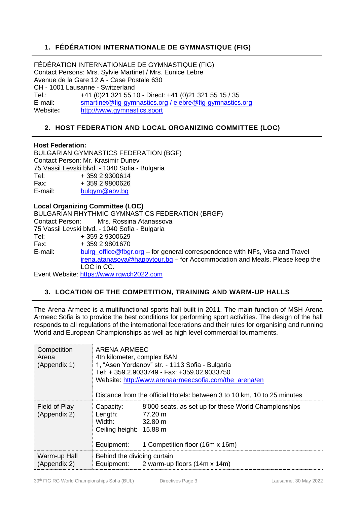# <span id="page-2-0"></span>**1. FÉDÉRATION INTERNATIONALE DE GYMNASTIQUE (FIG)**

FÉDÉRATION INTERNATIONALE DE GYMNASTIQUE (FIG) Contact Persons: Mrs. Sylvie Martinet / Mrs. Eunice Lebre Avenue de la Gare 12 A - Case Postale 630 CH - 1001 Lausanne - Switzerland Tel.: +41 (0)21 321 55 10 - Direct: +41 (0)21 321 55 15 / 35 E-mail: [smartinet@fig-gymnastics.org](mailto:smartinet@fig-gymnastics.org) / elebre@fig-gymnastics.org Website**:** [http://www.gymnastics.sport](http://www.gymnastics.sport/)

# <span id="page-2-1"></span>**2. HOST FEDERATION AND LOCAL ORGANIZING COMMITTEE (LOC)**

# **Host Federation:**

BULGARIAN GYMNASTICS FEDERATION (BGF) Contact Person: Mr. Krasimir Dunev 75 Vassil Levski blvd. - 1040 Sofia - Bulgaria Tel: + 359 2 9300614 Fax: + 359 2 9800626 E-mail: [bulgym@abv.bg](mailto:bulgym@abv.bg)

**Local Organizing Committee (LOC)**  BULGARIAN RHYTHMIC GYMNASTICS FEDERATION (BRGF) Contact Person: Mrs. Rossina Atanassova 75 Vassil Levski blvd. - 1040 Sofia - Bulgaria Tel: + 359 2 9300629 Fax: + 359 2 9801670 E-mail: **[bulrg\\_office@fbgr.org](mailto:bulrg_office@fbgr.org)** – for general correspondence with NFs, Visa and Travel [irena.atanasova@happytour.bg](mailto:irena.atanasova@happytour.bg) – for Accommodation and Meals. Please keep the LOC in CC.

Event Website: [https://www.rgwch2022.com](https://www.rgwch2022.com/)

# <span id="page-2-2"></span>**3. LOCATION OF THE COMPETITION, TRAINING AND WARM-UP HALLS**

The Arena Armeec is a multifunctional sports hall built in 2011. The main function of MSH Arena Armeec Sofia is to provide the best conditions for performing sport activities. The design of the hall responds to all regulations of the international federations and their rules for organising and running World and European Championships as well as high level commercial tournaments.

| Competition<br>Arena<br>(Appendix 1) | ARENA ARMEEC<br>4th kilometer, complex BAN<br>1, "Asen Yordanov" str. - 1113 Sofia - Bulgaria<br>Tel: + 359.2.9033749 - Fax: +359.02.9033750<br>Website: http://www.arenaarmeecsofia.com/the arena/en<br>Distance from the official Hotels: between 3 to 10 km, 10 to 25 minutes |
|--------------------------------------|----------------------------------------------------------------------------------------------------------------------------------------------------------------------------------------------------------------------------------------------------------------------------------|
| Field of Play<br>(Appendix 2)        | 8'000 seats, as set up for these World Championships<br>Capacity:<br>Length:<br>77.20 m<br>Width:<br>$32.80 \text{ m}$<br>Ceiling height: 15.88 m<br>Equipment:<br>1 Competition floor (16m x 16m)                                                                               |
| Warm-up Hall<br>(Appendix 2)         | Behind the dividing curtain<br>2 warm-up floors (14m x 14m)<br>Equipment:                                                                                                                                                                                                        |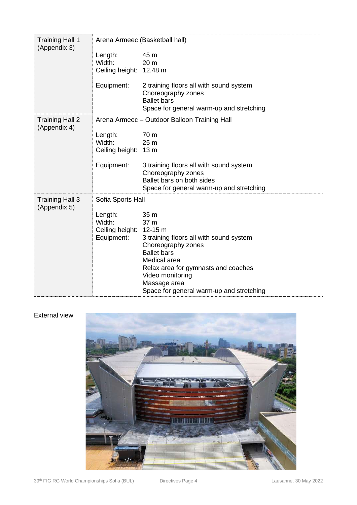| <b>Training Hall 1</b><br>(Appendix 3) |                                                            | Arena Armeec (Basketball hall)                                                                                                                                                                                                             |
|----------------------------------------|------------------------------------------------------------|--------------------------------------------------------------------------------------------------------------------------------------------------------------------------------------------------------------------------------------------|
|                                        | Length:<br>Width:<br>Ceiling height: 12.48 m               | 45 m<br>20 <sub>m</sub>                                                                                                                                                                                                                    |
|                                        | Equipment:                                                 | 2 training floors all with sound system<br>Choreography zones<br><b>Ballet bars</b><br>Space for general warm-up and stretching                                                                                                            |
| <b>Training Hall 2</b><br>(Appendix 4) |                                                            | Arena Armeec - Outdoor Balloon Training Hall                                                                                                                                                                                               |
|                                        | Length:<br>Width:<br>Ceiling height: 13 m                  | 70 m<br>25 m                                                                                                                                                                                                                               |
|                                        | Equipment:                                                 | 3 training floors all with sound system<br>Choreography zones<br>Ballet bars on both sides<br>Space for general warm-up and stretching                                                                                                     |
| <b>Training Hall 3</b>                 | Sofia Sports Hall                                          |                                                                                                                                                                                                                                            |
| (Appendix 5)                           | Length:<br>Width:<br>Ceiling height: 12-15 m<br>Equipment: | 35 m<br>37 m<br>3 training floors all with sound system<br>Choreography zones<br><b>Ballet bars</b><br>Medical area<br>Relax area for gymnasts and coaches<br>Video monitoring<br>Massage area<br>Space for general warm-up and stretching |

# External view

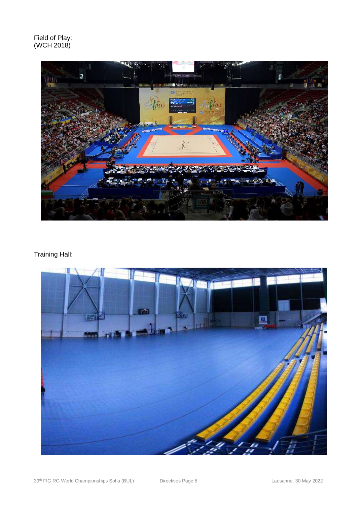Field of Play: (WCH 2018)



# Training Hall:

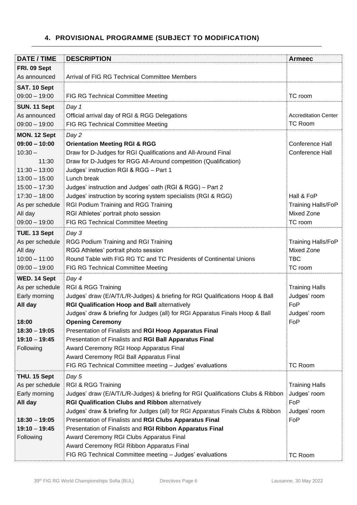# <span id="page-5-0"></span>**4. PROVISIONAL PROGRAMME (SUBJECT TO MODIFICATION)**

| <b>DATE / TIME</b>                 | <b>DESCRIPTION</b>                                                                                                                          | <b>Armeec</b>               |
|------------------------------------|---------------------------------------------------------------------------------------------------------------------------------------------|-----------------------------|
| FRI. 09 Sept                       |                                                                                                                                             |                             |
| As announced                       | Arrival of FIG RG Technical Committee Members                                                                                               |                             |
| SAT. 10 Sept                       |                                                                                                                                             |                             |
| $09:00 - 19:00$                    | FIG RG Technical Committee Meeting                                                                                                          | TC room                     |
| SUN. 11 Sept                       | Day 1                                                                                                                                       |                             |
| As announced                       | Official arrival day of RGI & RGG Delegations                                                                                               | <b>Accreditation Center</b> |
| $09:00 - 19:00$                    | FIG RG Technical Committee Meeting                                                                                                          | <b>TC Room</b>              |
| MON. 12 Sept                       | Day 2                                                                                                                                       |                             |
| $09:00 - 10:00$                    | <b>Orientation Meeting RGI &amp; RGG</b>                                                                                                    | Conference Hall             |
| $10:30 -$                          | Draw for D-Judges for RGI Qualifications and All-Around Final                                                                               | Conference Hall             |
| 11:30                              | Draw for D-Judges for RGG All-Around competition (Qualification)                                                                            |                             |
| $11:30 - 13:00$                    | Judges' instruction RGI & RGG - Part 1                                                                                                      |                             |
| $13:00 - 15:00$                    | Lunch break                                                                                                                                 |                             |
| $15:00 - 17:30$<br>$17:30 - 18:00$ | Judges' instruction and Judges' oath (RGI & RGG) - Part 2<br>Judges' instruction by scoring system specialists (RGI & RGG)                  | Hall & FoP                  |
| As per schedule                    | RGI Podium Training and RGG Training                                                                                                        | Training Halls/FoP          |
| All day                            | RGI Athletes' portrait photo session                                                                                                        | <b>Mixed Zone</b>           |
| $09:00 - 19:00$                    | FIG RG Technical Committee Meeting                                                                                                          | TC room                     |
| TUE. 13 Sept                       | Day 3                                                                                                                                       |                             |
| As per schedule                    | RGG Podium Training and RGI Training                                                                                                        | <b>Training Halls/FoP</b>   |
| All day                            | RGG Athletes' portrait photo session                                                                                                        | <b>Mixed Zone</b>           |
| $10:00 - 11:00$                    | Round Table with FIG RG TC and TC Presidents of Continental Unions                                                                          | <b>TBC</b>                  |
| $09:00 - 19:00$                    | FIG RG Technical Committee Meeting                                                                                                          | TC room                     |
| WED. 14 Sept                       | Day 4                                                                                                                                       |                             |
| As per schedule                    | <b>RGI &amp; RGG Training</b>                                                                                                               | <b>Training Halls</b>       |
| Early morning                      | Judges' draw (E/A/T/L/R-Judges) & briefing for RGI Qualifications Hoop & Ball                                                               | Judges' room                |
| All day                            | RGI Qualification Hoop and Ball alternatively                                                                                               | FoP                         |
|                                    | Judges' draw & briefing for Judges (all) for RGI Apparatus Finals Hoop & Ball                                                               | Judges' room                |
| 18:00                              | <b>Opening Ceremony</b>                                                                                                                     | FoP                         |
| $18:30 - 19:05$                    | Presentation of Finalists and RGI Hoop Apparatus Final                                                                                      |                             |
| $19:10 - 19:45$                    | Presentation of Finalists and RGI Ball Apparatus Final                                                                                      |                             |
| Following                          | Award Ceremony RGI Hoop Apparatus Final                                                                                                     |                             |
|                                    | Award Ceremony RGI Ball Apparatus Final                                                                                                     |                             |
|                                    | FIG RG Technical Committee meeting - Judges' evaluations                                                                                    | <b>TC Room</b>              |
| THU. 15 Sept                       | Day 5                                                                                                                                       |                             |
| As per schedule                    | RGI & RGG Training                                                                                                                          | <b>Training Halls</b>       |
| Early morning                      | Judges' draw (E/A/T/L/R-Judges) & briefing for RGI Qualifications Clubs & Ribbon                                                            | Judges' room<br>FoP         |
| All day                            | <b>RGI Qualification Clubs and Ribbon alternatively</b><br>Judges' draw & briefing for Judges (all) for RGI Apparatus Finals Clubs & Ribbon | Judges' room                |
| $18:30 - 19:05$                    | Presentation of Finalists and RGI Clubs Apparatus Final                                                                                     | FoP                         |
| $19:10 - 19:45$                    | Presentation of Finalists and RGI Ribbon Apparatus Final                                                                                    |                             |
| Following                          | Award Ceremony RGI Clubs Apparatus Final                                                                                                    |                             |
|                                    | Award Ceremony RGI Ribbon Apparatus Final                                                                                                   |                             |
|                                    | FIG RG Technical Committee meeting - Judges' evaluations                                                                                    | TC Room                     |
|                                    |                                                                                                                                             |                             |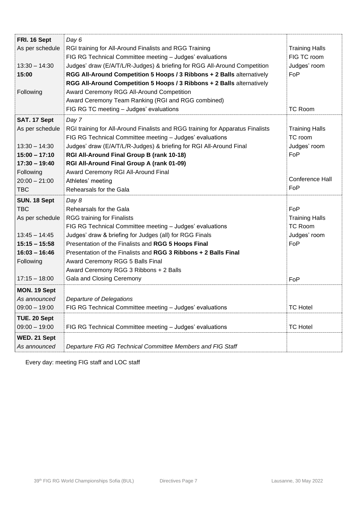| FRI. 16 Sept    | Day 6                                                                          |                       |
|-----------------|--------------------------------------------------------------------------------|-----------------------|
| As per schedule | RGI training for All-Around Finalists and RGG Training                         | <b>Training Halls</b> |
|                 | FIG RG Technical Committee meeting - Judges' evaluations                       | FIG TC room           |
| $13:30 - 14:30$ | Judges' draw (E/A/T/L/R-Judges) & briefing for RGG All-Around Competition      | Judges' room          |
| 15:00           | RGG All-Around Competition 5 Hoops / 3 Ribbons + 2 Balls alternatively         | FoP                   |
|                 | RGG All-Around Competition 5 Hoops / 3 Ribbons + 2 Balls alternatively         |                       |
| Following       | Award Ceremony RGG All-Around Competition                                      |                       |
|                 | Award Ceremony Team Ranking (RGI and RGG combined)                             |                       |
|                 | FIG RG TC meeting - Judges' evaluations                                        | <b>TC Room</b>        |
| SAT. 17 Sept    | Day 7                                                                          |                       |
| As per schedule | RGI training for All-Around Finalists and RGG training for Apparatus Finalists | <b>Training Halls</b> |
|                 | FIG RG Technical Committee meeting - Judges' evaluations                       | TC room               |
| $13:30 - 14:30$ | Judges' draw (E/A/T/L/R-Judges) & briefing for RGI All-Around Final            | Judges' room          |
| $15:00 - 17:10$ | RGI All-Around Final Group B (rank 10-18)                                      | FoP                   |
| $17:30 - 19:40$ | RGI All-Around Final Group A (rank 01-09)                                      |                       |
| Following       | Award Ceremony RGI All-Around Final                                            |                       |
| $20:00 - 21:00$ |                                                                                | Conference Hall       |
|                 | Athletes' meeting                                                              | FoP                   |
| <b>TBC</b>      | Rehearsals for the Gala                                                        |                       |
| SUN. 18 Sept    | Day 8                                                                          |                       |
| <b>TBC</b>      | Rehearsals for the Gala                                                        | FoP                   |
| As per schedule | <b>RGG training for Finalists</b>                                              | <b>Training Halls</b> |
|                 | FIG RG Technical Committee meeting - Judges' evaluations                       | <b>TC Room</b>        |
| $13:45 - 14:45$ | Judges' draw & briefing for Judges (all) for RGG Finals                        | Judges' room          |
| $15:15 - 15:58$ | Presentation of the Finalists and RGG 5 Hoops Final                            | FoP                   |
| $16:03 - 16:46$ | Presentation of the Finalists and RGG 3 Ribbons + 2 Balls Final                |                       |
| Following       | Award Ceremony RGG 5 Balls Final                                               |                       |
|                 | Award Ceremony RGG 3 Ribbons + 2 Balls                                         |                       |
| $17:15 - 18:00$ | Gala and Closing Ceremony                                                      | FoP                   |
| MON. 19 Sept    |                                                                                |                       |
| As announced    | Departure of Delegations                                                       |                       |
| $09:00 - 19:00$ | FIG RG Technical Committee meeting - Judges' evaluations                       | <b>TC Hotel</b>       |
| TUE. 20 Sept    |                                                                                |                       |
| $09:00 - 19:00$ | FIG RG Technical Committee meeting - Judges' evaluations                       | <b>TC Hotel</b>       |
|                 |                                                                                |                       |
| WED. 21 Sept    |                                                                                |                       |
| As announced    | Departure FIG RG Technical Committee Members and FIG Staff                     |                       |

Every day: meeting FIG staff and LOC staff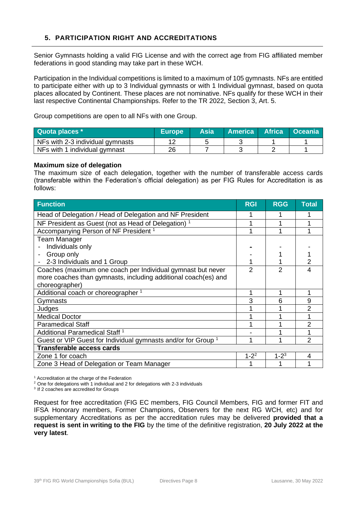# <span id="page-7-0"></span>**5. PARTICIPATION RIGHT AND ACCREDITATIONS**

Senior Gymnasts holding a valid FIG License and with the correct age from FIG affiliated member federations in good standing may take part in these WCH.

Participation in the Individual competitions is limited to a maximum of 105 gymnasts. NFs are entitled to participate either with up to 3 Individual gymnasts or with 1 Individual gymnast, based on quota places allocated by Continent. These places are not nominative. NFs qualify for these WCH in their last respective Continental Championships. Refer to the TR 2022, Section 3, Art. 5.

Group competitions are open to all NFs with one Group.

| Quota places *                   | <b>Europe</b> | Asia | <b>America</b> | <b>Africa</b> | <b>Oceania</b> |
|----------------------------------|---------------|------|----------------|---------------|----------------|
| NFs with 2-3 individual gymnasts |               |      |                |               |                |
| NFs with 1 individual gymnast    | 26            |      |                |               |                |

#### **Maximum size of delegation**

The maximum size of each delegation, together with the number of transferable access cards (transferable within the Federation's official delegation) as per FIG Rules for Accreditation is as follows:

| <b>Function</b>                                                          | <b>RGI</b> | <b>RGG</b> | <b>Total</b> |
|--------------------------------------------------------------------------|------------|------------|--------------|
| Head of Delegation / Head of Delegation and NF President                 |            |            |              |
| NF President as Guest (not as Head of Delegation) <sup>1</sup>           |            |            |              |
| Accompanying Person of NF President <sup>1</sup>                         |            |            |              |
| <b>Team Manager</b>                                                      |            |            |              |
| Individuals only                                                         |            |            |              |
| Group only                                                               |            |            |              |
| 2-3 Individuals and 1 Group                                              |            |            |              |
| Coaches (maximum one coach per Individual gymnast but never              | 2          | 2          |              |
| more coaches than gymnasts, including additional coach(es) and           |            |            |              |
| choreographer)                                                           |            |            |              |
| Additional coach or choreographer <sup>1</sup>                           | 1          |            | 1            |
| <b>Gymnasts</b>                                                          | 3          | 6          | 9            |
| Judges                                                                   |            |            |              |
| <b>Medical Doctor</b>                                                    |            |            |              |
| <b>Paramedical Staff</b>                                                 |            |            | 2            |
| Additional Paramedical Staff <sup>1</sup>                                |            |            |              |
| Guest or VIP Guest for Individual gymnasts and/or for Group <sup>1</sup> | 1          |            | 2            |
| <b>Transferable access cards</b>                                         |            |            |              |
| Zone 1 for coach                                                         | $1 - 2^2$  | $1 - 2^3$  | 4            |
| Zone 3 Head of Delegation or Team Manager                                |            |            |              |

<sup>1</sup> Accreditation at the charge of the Federation

<sup>2</sup> One for delegations with 1 individual and 2 for delegations with 2-3 individuals

<sup>3</sup> If 2 coaches are accredited for Groups

Request for free accreditation (FIG EC members, FIG Council Members, FIG and former FIT and IFSA Honorary members, Former Champions, Observers for the next RG WCH, etc) and for supplementary Accreditations as per the accreditation rules may be delivered **provided that a request is sent in writing to the FIG** by the time of the definitive registration, **20 July 2022 at the very latest**.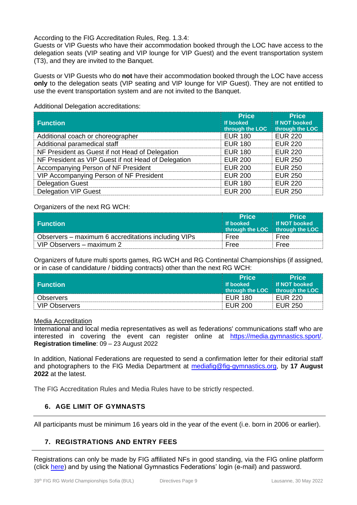According to the FIG Accreditation Rules, Reg. 1.3.4:

Guests or VIP Guests who have their accommodation booked through the LOC have access to the delegation seats (VIP seating and VIP lounge for VIP Guest) and the event transportation system (T3), and they are invited to the Banquet.

Guests or VIP Guests who do **not** have their accommodation booked through the LOC have access **only** to the delegation seats (VIP seating and VIP lounge for VIP Guest). They are not entitled to use the event transportation system and are not invited to the Banquet.

| <b>Function</b>                                     | <b>Price</b><br>If booked<br>through the LOC | <b>Price</b><br><b>If NOT booked</b><br>through the LOC |
|-----------------------------------------------------|----------------------------------------------|---------------------------------------------------------|
| Additional coach or choreographer                   | <b>EUR 180</b>                               | <b>EUR 220</b>                                          |
| Additional paramedical staff                        | <b>EUR 180</b>                               | <b>EUR 220</b>                                          |
| NF President as Guest if not Head of Delegation     | <b>EUR 180</b>                               | <b>EUR 220</b>                                          |
| NF President as VIP Guest if not Head of Delegation | <b>EUR 200</b>                               | <b>EUR 250</b>                                          |
| Accompanying Person of NF President                 | <b>EUR 200</b>                               | <b>EUR 250</b>                                          |
| VIP Accompanying Person of NF President             | <b>EUR 200</b>                               | <b>EUR 250</b>                                          |
| <b>Delegation Guest</b>                             | <b>EUR 180</b>                               | <b>EUR 220</b>                                          |
| <b>Delegation VIP Guest</b>                         | <b>EUR 200</b>                               | <b>EUR 250</b>                                          |

Additional Delegation accreditations:

#### Organizers of the next RG WCH:

|                                                     | <b>Price</b> | <b>Price</b>                    |
|-----------------------------------------------------|--------------|---------------------------------|
| <b>Function</b>                                     | If booked    | If NOT booked                   |
|                                                     |              | through the LOC through the LOC |
| Observers – maximum 6 accreditations including VIPs | Free         | Free                            |
| VIP Observers - maximum 2                           | Free         | Free                            |

Organizers of future multi sports games, RG WCH and RG Continental Championships (if assigned, or in case of candidature / bidding contracts) other than the next RG WCH:

|                      | <b>Price</b> | <b>Price</b>                    |
|----------------------|--------------|---------------------------------|
| <b>Function</b>      | If booked    | <b>If NOT booked</b>            |
|                      |              | through the LOC through the LOC |
| <b>Observers</b>     | EUR 180      | EUR 220                         |
| <b>VIP Observers</b> | EUR 200      | <b>EUR 250</b>                  |

#### Media Accreditation

International and local media representatives as well as federations' communications staff who are interested in covering the event can register online at <https://media.gymnastics.sport/>. **Registration timeline**: 09 – 23 August 2022

In addition, National Federations are requested to send a confirmation letter for their editorial staff and photographers to the FIG Media Department at [mediafig@fig-gymnastics.org,](mailto:mediafig@fig-gymnastics.org) by **17 August 2022** at the latest.

The FIG Accreditation Rules and Media Rules have to be strictly respected.

# <span id="page-8-0"></span>**6. AGE LIMIT OF GYMNASTS**

All participants must be minimum 16 years old in the year of the event (i.e. born in 2006 or earlier).

# <span id="page-8-1"></span>**7. REGISTRATIONS AND ENTRY FEES**

Registrations can only be made by FIG affiliated NFs in good standing, via the FIG online platform (click [here\)](https://database.fig-gymnastics.com/login?pathFrom=%2F) and by using the National Gymnastics Federations' login (e-mail) and password.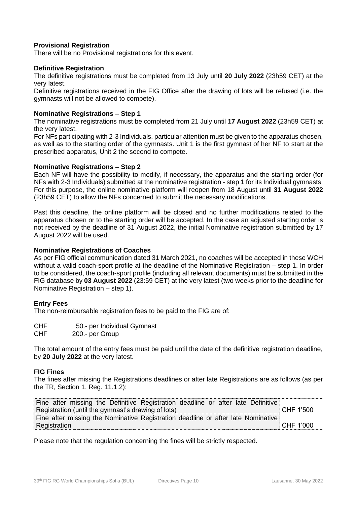#### **Provisional Registration**

There will be no Provisional registrations for this event.

#### **Definitive Registration**

The definitive registrations must be completed from 13 July until **20 July 2022** (23h59 CET) at the very latest.

Definitive registrations received in the FIG Office after the drawing of lots will be refused (i.e. the gymnasts will not be allowed to compete).

#### **Nominative Registrations – Step 1**

The nominative registrations must be completed from 21 July until **17 August 2022** (23h59 CET) at the very latest.

For NFs participating with 2-3 Individuals, particular attention must be given to the apparatus chosen, as well as to the starting order of the gymnasts. Unit 1 is the first gymnast of her NF to start at the prescribed apparatus, Unit 2 the second to compete.

#### **Nominative Registrations – Step 2**

Each NF will have the possibility to modify, if necessary, the apparatus and the starting order (for NFs with 2-3 Individuals) submitted at the nominative registration - step 1 for its Individual gymnasts. For this purpose, the online nominative platform will reopen from 18 August until **31 August 2022** (23h59 CET) to allow the NFs concerned to submit the necessary modifications.

Past this deadline, the online platform will be closed and no further modifications related to the apparatus chosen or to the starting order will be accepted. In the case an adjusted starting order is not received by the deadline of 31 August 2022, the initial Nominative registration submitted by 17 August 2022 will be used.

#### **Nominative Registrations of Coaches**

As per FIG official communication dated 31 March 2021, no coaches will be accepted in these WCH without a valid coach-sport profile at the deadline of the Nominative Registration – step 1. In order to be considered, the coach-sport profile (including all relevant documents) must be submitted in the FIG database by **03 August 2022** (23:59 CET) at the very latest (two weeks prior to the deadline for Nominative Registration – step 1).

#### **Entry Fees**

The non-reimbursable registration fees to be paid to the FIG are of:

- CHF 50.- per Individual Gymnast
- CHF 200.- per Group

The total amount of the entry fees must be paid until the date of the definitive registration deadline, by **20 July 2022** at the very latest.

#### **FIG Fines**

The fines after missing the Registrations deadlines or after late Registrations are as follows (as per the TR, Section 1, Reg. 11.1.2):

| Fine after missing the Definitive Registration deadline or after late Definitive |           |
|----------------------------------------------------------------------------------|-----------|
| Registration (until the gymnast's drawing of lots)                               | CHF 1'500 |
| Fine after missing the Nominative Registration deadline or after late Nominative |           |
| Registration                                                                     | CHF 1'000 |

Please note that the regulation concerning the fines will be strictly respected.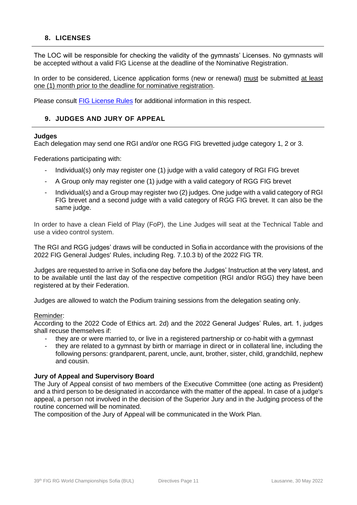# <span id="page-10-0"></span>**8. LICENSES**

The LOC will be responsible for checking the validity of the gymnasts' Licenses. No gymnasts will be accepted without a valid FIG License at the deadline of the Nominative Registration.

In order to be considered, Licence application forms (new or renewal) must be submitted at least one (1) month prior to the deadline for nominative registration.

Please consult **[FIG License Rules](https://www.gymnastics.sport/publicdir/rules/files/en_License%20Rules.pdf)** for additional information in this respect.

# <span id="page-10-1"></span>**9. JUDGES AND JURY OF APPEAL**

#### **Judges**

Each delegation may send one RGI and/or one RGG FIG brevetted judge category 1, 2 or 3.

Federations participating with:

- Individual(s) only may register one (1) judge with a valid category of RGI FIG brevet
- A Group only may register one (1) judge with a valid category of RGG FIG brevet
- Individual(s) and a Group may register two (2) judges. One judge with a valid category of RGI FIG brevet and a second judge with a valid category of RGG FIG brevet. It can also be the same judge.

In order to have a clean Field of Play (FoP), the Line Judges will seat at the Technical Table and use a video control system.

The RGI and RGG judges' draws will be conducted in Sofia in accordance with the provisions of the 2022 FIG General Judges' Rules, including Reg. 7.10.3 b) of the 2022 FIG TR.

Judges are requested to arrive in Sofia one day before the Judges' Instruction at the very latest, and to be available until the last day of the respective competition (RGI and/or RGG) they have been registered at by their Federation.

Judges are allowed to watch the Podium training sessions from the delegation seating only.

#### Reminder:

According to the 2022 Code of Ethics art. 2d) and the 2022 General Judges' Rules, art. 1, judges shall recuse themselves if:

- they are or were married to, or live in a registered partnership or co-habit with a gymnast
- they are related to a gymnast by birth or marriage in direct or in collateral line, including the following persons: grandparent, parent, uncle, aunt, brother, sister, child, grandchild, nephew and cousin.

#### **Jury of Appeal and Supervisory Board**

The Jury of Appeal consist of two members of the Executive Committee (one acting as President) and a third person to be designated in accordance with the matter of the appeal. In case of a judge's appeal, a person not involved in the decision of the Superior Jury and in the Judging process of the routine concerned will be nominated.

The composition of the Jury of Appeal will be communicated in the Work Plan.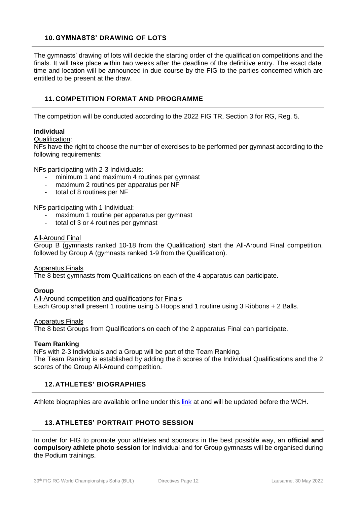# <span id="page-11-0"></span>**10. GYMNASTS' DRAWING OF LOTS**

The gymnasts' drawing of lots will decide the starting order of the qualification competitions and the finals. It will take place within two weeks after the deadline of the definitive entry. The exact date, time and location will be announced in due course by the FIG to the parties concerned which are entitled to be present at the draw.

# <span id="page-11-1"></span>**11. COMPETITION FORMAT AND PROGRAMME**

The competition will be conducted according to the 2022 FIG TR, Section 3 for RG, Reg. 5.

#### **Individual**

Qualification:

NFs have the right to choose the number of exercises to be performed per gymnast according to the following requirements:

NFs participating with 2-3 Individuals:

- minimum 1 and maximum 4 routines per gymnast
- maximum 2 routines per apparatus per NF
- total of 8 routines per NF

NFs participating with 1 Individual:

- maximum 1 routine per apparatus per gymnast
- total of 3 or 4 routines per gymnast

#### All-Around Final

Group B (gymnasts ranked 10-18 from the Qualification) start the All-Around Final competition, followed by Group A (gymnasts ranked 1-9 from the Qualification).

#### Apparatus Finals

The 8 best gymnasts from Qualifications on each of the 4 apparatus can participate.

#### **Group**

All-Around competition and qualifications for Finals Each Group shall present 1 routine using 5 Hoops and 1 routine using 3 Ribbons + 2 Balls.

#### Apparatus Finals

The 8 best Groups from Qualifications on each of the 2 apparatus Final can participate.

#### **Team Ranking**

NFs with 2-3 Individuals and a Group will be part of the Team Ranking.

The Team Ranking is established by adding the 8 scores of the Individual Qualifications and the 2 scores of the Group All-Around competition.

#### <span id="page-11-2"></span>**12.ATHLETES' BIOGRAPHIES**

Athlete biographies are available online under this [link](https://www.gymnastics.sport/site/athletes/bio_view.php) at and will be updated before the WCH.

# <span id="page-11-3"></span>**13. ATHLETES' PORTRAIT PHOTO SESSION**

In order for FIG to promote your athletes and sponsors in the best possible way, an **official and compulsory athlete photo session** for Individual and for Group gymnasts will be organised during the Podium trainings.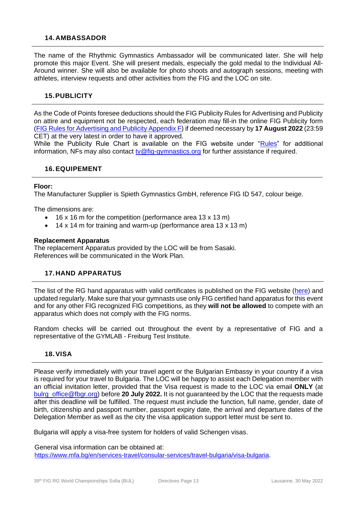#### <span id="page-12-0"></span>**14. AMBASSADOR**

The name of the Rhythmic Gymnastics Ambassador will be communicated later. She will help promote this major Event. She will present medals, especially the gold medal to the Individual All-Around winner. She will also be available for photo shoots and autograph sessions, meeting with athletes, interview requests and other activities from the FIG and the LOC on site.

#### <span id="page-12-1"></span>**15.PUBLICITY**

As the Code of Points foresee deductions should the FIG Publicity Rules for Advertising and Publicity on attire and equipment not be respected, each federation may fill-in the online FIG Publicity form [\(FIG Rules for Advertising and Publicity Appendix F\)](http://www.fig-gymnastics.com/site/rules/publicity) if deemed necessary by **17 August 2022** (23:59 CET) at the very latest in order to have it approved.

While the Publicity Rule Chart is available on the FIG website under ["Rules"](http://www.gymnastics.sport/site/rules/rules.php) for additional information, NFs may also contact  $tw@fig-gymnastics.org$  for further assistance if required.</u>

#### <span id="page-12-2"></span>**16.EQUIPEMENT**

#### **Floor:**

The Manufacturer Supplier is Spieth Gymnastics GmbH, reference FIG ID 547, colour beige.

The dimensions are:

- 16 x 16 m for the competition (performance area 13 x 13 m)
- 14 x 14 m for training and warm-up (performance area 13 x 13 m)

#### **Replacement Apparatus**

The replacement Apparatus provided by the LOC will be from Sasaki. References will be communicated in the Work Plan.

#### <span id="page-12-3"></span>**17. HAND APPARATUS**

The list of the RG hand apparatus with valid certificates is published on the FIG website [\(here\)](https://www.gymnastics.sport/site/apparatus/man_view.php) and updated regularly. Make sure that your gymnasts use only FIG certified hand apparatus for this event and for any other FIG recognized FIG competitions, as they **will not be allowed** to compete with an apparatus which does not comply with the FIG norms.

Random checks will be carried out throughout the event by a representative of FIG and a representative of the GYMLAB - Freiburg Test Institute.

#### <span id="page-12-4"></span>**18.VISA**

Please verify immediately with your travel agent or the Bulgarian Embassy in your country if a visa is required for your travel to Bulgaria. The LOC will be happy to assist each Delegation member with an official invitation letter, provided that the Visa request is made to the LOC via email **ONLY** (at [bulrg\\_office@fbgr.org\)](mailto:bulrg_office@fbgr.org) before **20 July 2022.** It is not guaranteed by the LOC that the requests made after this deadline will be fulfilled. The request must include the function, full name, gender, date of birth, citizenship and passport number, passport expiry date, the arrival and departure dates of the Delegation Member as well as the city the visa application support letter must be sent to.

Bulgaria will apply a visa-free system for holders of valid Schengen visas.

#### General visa information can be obtained at:

<https://www.mfa.bg/en/services-travel/consular-services/travel-bulgaria/visa-bulgaria>.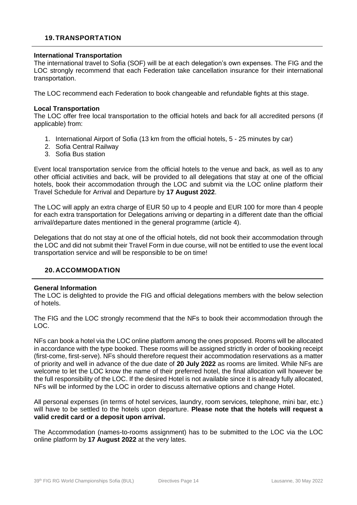#### <span id="page-13-0"></span>**19. TRANSPORTATION**

#### **International Transportation**

The international travel to Sofia (SOF) will be at each delegation's own expenses. The FIG and the LOC strongly recommend that each Federation take cancellation insurance for their international transportation.

The LOC recommend each Federation to book changeable and refundable fights at this stage.

#### **Local Transportation**

The LOC offer free local transportation to the official hotels and back for all accredited persons (if applicable) from:

- 1. International Airport of Sofia (13 km from the official hotels, 5 25 minutes by car)
- 2. Sofia Central Railway
- 3. Sofia Bus station

Event local transportation service from the official hotels to the venue and back, as well as to any other official activities and back, will be provided to all delegations that stay at one of the official hotels, book their accommodation through the LOC and submit via the LOC online platform their Travel Schedule for Arrival and Departure by **17 August 2022**.

The LOC will apply an extra charge of EUR 50 up to 4 people and EUR 100 for more than 4 people for each extra transportation for Delegations arriving or departing in a different date than the official arrival/departure dates mentioned in the general programme (article 4).

Delegations that do not stay at one of the official hotels, did not book their accommodation through the LOC and did not submit their Travel Form in due course, will not be entitled to use the event local transportation service and will be responsible to be on time!

#### <span id="page-13-1"></span>**20. ACCOMMODATION**

#### **General Information**

The LOC is delighted to provide the FIG and official delegations members with the below selection of hotels.

The FIG and the LOC strongly recommend that the NFs to book their accommodation through the LOC.

NFs can book a hotel via the LOC online platform among the ones proposed. Rooms will be allocated in accordance with the type booked. These rooms will be assigned strictly in order of booking receipt (first-come, first-serve). NFs should therefore request their accommodation reservations as a matter of priority and well in advance of the due date of **20 July 2022** as rooms are limited. While NFs are welcome to let the LOC know the name of their preferred hotel, the final allocation will however be the full responsibility of the LOC. If the desired Hotel is not available since it is already fully allocated, NFs will be informed by the LOC in order to discuss alternative options and change Hotel.

All personal expenses (in terms of hotel services, laundry, room services, telephone, mini bar, etc.) will have to be settled to the hotels upon departure. **Please note that the hotels will request a valid credit card or a deposit upon arrival.**

The Accommodation (names-to-rooms assignment) has to be submitted to the LOC via the LOC online platform by **17 August 2022** at the very lates.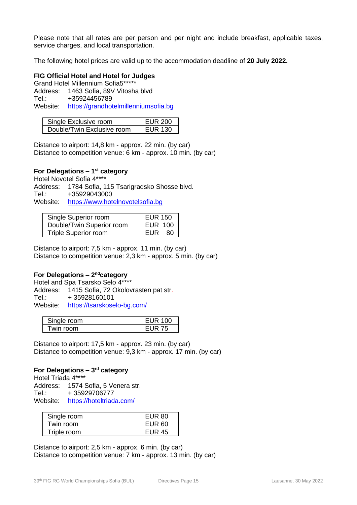Please note that all rates are per person and per night and include breakfast, applicable taxes, service charges, and local transportation.

The following hotel prices are valid up to the accommodation deadline of **20 July 2022.**

#### **FIG Official Hotel and Hotel for Judges**

Grand Hotel Millennium Sofia5\*\*\*\*\* Address: 1463 Sofia, 89V Vitosha blvd Tel.: +35924456789 Website: https://grandhotelmillenniumsofia.bg

| Single Exclusive room      | EUR 200 |
|----------------------------|---------|
| Double/Twin Exclusive room | EUR 130 |

Distance to airport: 14,8 km - approx. 22 min. (by car) Distance to competition venue: 6 km - approx. 10 min. (by car)

# **For Delegations – 1 st category**

Hotel Novotel Sofia 4\*\*\*\* Address: 1784 Sofia, 115 Tsarigradsko Shosse blvd. Tel.: +35929043000 Website: [https://www.hotelnovotelsofia.bg](https://www.hotelnovotelsofia.bg/)

| Single Superior room        | <b>EUR 150</b> |
|-----------------------------|----------------|
| Double/Twin Superior room   | EUR 100        |
| <b>Triple Superior room</b> | EUR<br>- 80 I  |

Distance to airport: 7,5 km - approx. 11 min. (by car) Distance to competition venue: 2,3 km - approx. 5 min. (by car)

#### **For Delegations – 2<sup>nd</sup>category**

Hotel and Spa Tsarsko Selo 4\*\*\*\* Address: 1415 Sofia, 72 Okolovrasten pat str. Tel.: + 35928160101 Website: https://tsarskoselo-bg.com/

| Single room | EUR 100       |
|-------------|---------------|
| Twin room.  | <b>EUR 75</b> |

Distance to airport: 17,5 km - approx. 23 min. (by car) Distance to competition venue: 9,3 km - approx. 17 min. (by car)

# **For Delegations – 3 rd category**

Hotel Triada 4\*\*\*\* Address: 1574 Sofia, 5 Venera str. Tel.: + 35929706777 Website: https://hoteltriada.com/

| Single room | <b>EUR 80</b> |
|-------------|---------------|
| Twin room   | <b>EUR 60</b> |
| Triple room | <b>EUR 45</b> |

Distance to airport: 2,5 km - approx. 6 min. (by car) Distance to competition venue: 7 km - approx. 13 min. (by car)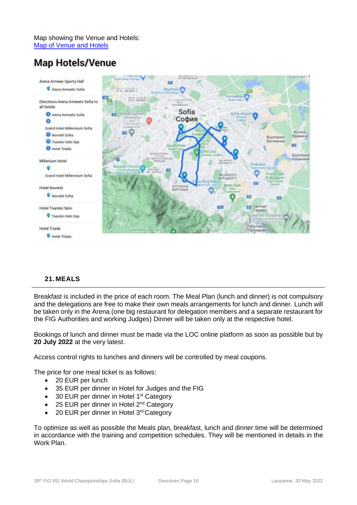Map showing the Venue and Hotels: [Map of Venue and Hotels](https://www.google.com/maps/d/u/0/edit?mid=1gYg2ebxDBl-ckS17ohcJGtXJYtgHoC88&usp=sharing)

# **Map Hotels/Venue**



# <span id="page-15-0"></span>**21. MEALS**

Breakfast is included in the price of each room. The Meal Plan (lunch and dinner) is not compulsory and the delegations are free to make their own meals arrangements for lunch and dinner. Lunch will be taken only in the Arena (one big restaurant for delegation members and a separate restaurant for the FIG Authorities and working Judges) Dinner will be taken only at the respective hotel.

Bookings of lunch and dinner must be made via the LOC online platform as soon as possible but by **20 July 2022** at the very latest.

Access control rights to lunches and dinners will be controlled by meal coupons.

The price for one meal ticket is as follows:

- 20 EUR per lunch
- 35 EUR per dinner in Hotel for Judges and the FIG
- 30 EUR per dinner in Hotel 1<sup>st</sup> Category
- 25 EUR per dinner in Hotel  $2^{nd}$  Category
- 20 EUR per dinner in Hotel 3rd Category

To optimize as well as possible the Meals plan, breakfast, lunch and dinner time will be determined in accordance with the training and competition schedules. They will be mentioned in details in the Work Plan.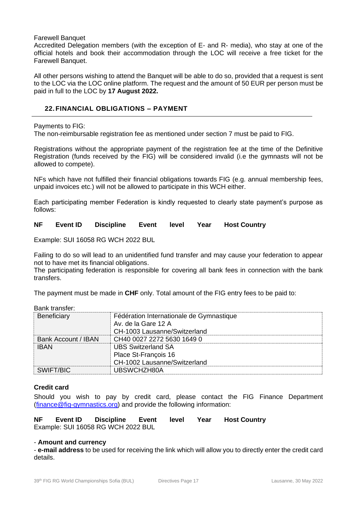#### Farewell Banquet

Accredited Delegation members (with the exception of E- and R- media), who stay at one of the official hotels and book their accommodation through the LOC will receive a free ticket for the Farewell Banquet.

All other persons wishing to attend the Banquet will be able to do so, provided that a request is sent to the LOC via the LOC online platform. The request and the amount of 50 EUR per person must be paid in full to the LOC by **17 August 2022.**

# <span id="page-16-0"></span>**22. FINANCIAL OBLIGATIONS** *–* **PAYMENT**

Payments to FIG:

The non-reimbursable registration fee as mentioned under section 7 must be paid to FIG.

Registrations without the appropriate payment of the registration fee at the time of the Definitive Registration (funds received by the FIG) will be considered invalid (i.e the gymnasts will not be allowed to compete).

NFs which have not fulfilled their financial obligations towards FIG (e.g. annual membership fees, unpaid invoices etc.) will not be allowed to participate in this WCH either.

Each participating member Federation is kindly requested to clearly state payment's purpose as follows:

**NF Event ID Discipline Event level Year Host Country**

Example: SUI 16058 RG WCH 2022 BUL

Failing to do so will lead to an unidentified fund transfer and may cause your federation to appear not to have met its financial obligations.

The participating federation is responsible for covering all bank fees in connection with the bank transfers.

The payment must be made in **CHF** only. Total amount of the FIG entry fees to be paid to:

Bank transfer:

| Beneficiary                | Fédération Internationale de Gymnastique<br>Av. de la Gare 12 A<br>CH-1003 Lausanne/Switzerland |
|----------------------------|-------------------------------------------------------------------------------------------------|
| <b>Bank Account / IBAN</b> | CH40 0027 2272 5630 1649 0                                                                      |
| <b>IBAN</b>                | <b>UBS Switzerland SA</b>                                                                       |
|                            | Place St-François 16                                                                            |
|                            | CH-1002 Lausanne/Switzerland                                                                    |
| SWIFT/BIC                  | UBSWCHZH80A                                                                                     |

#### **Credit card**

Should you wish to pay by credit card, please contact the FIG Finance Department [\(finance@fig-gymnastics.org\)](mailto:finance@figgymnastics.org) and provide the following information:

**NF Event ID Discipline Event level Year Host Country** Example: SUI 16058 RG WCH 2022 BUL

#### - **Amount and currency**

- **e-mail address** to be used for receiving the link which will allow you to directly enter the credit card details.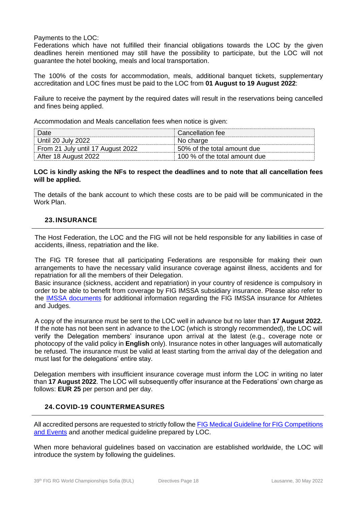Payments to the LOC:

Federations which have not fulfilled their financial obligations towards the LOC by the given deadlines herein mentioned may still have the possibility to participate, but the LOC will not guarantee the hotel booking, meals and local transportation.

The 100% of the costs for accommodation, meals, additional banquet tickets, supplementary accreditation and LOC fines must be paid to the LOC from **01 August to 19 August 2022**:

Failure to receive the payment by the required dates will result in the reservations being cancelled and fines being applied.

Accommodation and Meals cancellation fees when notice is given:

| Date                              | Cancellation fee              |
|-----------------------------------|-------------------------------|
| Until 20 July 2022                | No charge                     |
| From 21 July until 17 August 2022 | 50% of the total amount due   |
| After 18 August 2022              | 100 % of the total amount due |

#### **LOC is kindly asking the NFs to respect the deadlines and to note that all cancellation fees will be applied.**

The details of the bank account to which these costs are to be paid will be communicated in the Work Plan.

# <span id="page-17-0"></span>**23. INSURANCE**

The Host Federation, the LOC and the FIG will not be held responsible for any liabilities in case of accidents, illness, repatriation and the like.

The FIG TR foresee that all participating Federations are responsible for making their own arrangements to have the necessary valid insurance coverage against illness, accidents and for repatriation for all the members of their Delegation.

Basic insurance (sickness, accident and repatriation) in your country of residence is compulsory in order to be able to benefit from coverage by FIG IMSSA subsidiary insurance. Please also refer to the [IMSSA documents](https://www.gymnastics.sport/site/pages/medical-insurance.php) for additional information regarding the FIG IMSSA insurance for Athletes and Judges.

A copy of the insurance must be sent to the LOC well in advance but no later than **17 August 2022.**  If the note has not been sent in advance to the LOC (which is strongly recommended), the LOC will verify the Delegation members' insurance upon arrival at the latest (e.g., coverage note or photocopy of the valid policy in **English** only). Insurance notes in other languages will automatically be refused. The insurance must be valid at least starting from the arrival day of the delegation and must last for the delegations' entire stay.

Delegation members with insufficient insurance coverage must inform the LOC in writing no later than **17 August 2022**. The LOC will subsequently offer insurance at the Federations' own charge as follows: **EUR 25** per person and per day.

# <span id="page-17-1"></span>**24. COVID-19 COUNTERMEASURES**

All accredited persons are requested to strictly follow th[e FIG Medical Guideline for FIG Competitions](https://www.gymnastics.sport/site/pages/medical-covid19.php)  [and Events](https://www.gymnastics.sport/site/pages/medical-covid19.php) and another medical guideline prepared by LOC.

When more behavioral guidelines based on vaccination are established worldwide, the LOC will introduce the system by following the guidelines.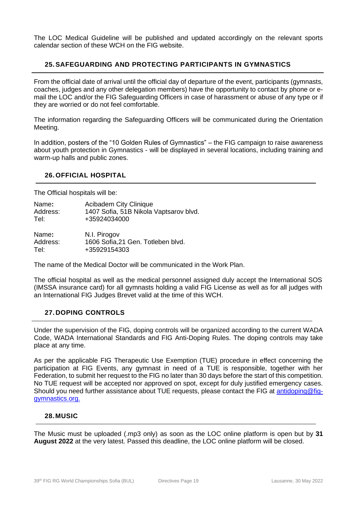The LOC Medical Guideline will be published and updated accordingly on the relevant sports calendar section of these WCH on the FIG website.

# <span id="page-18-0"></span>**25.SAFEGUARDING AND PROTECTING PARTICIPANTS IN GYMNASTICS**

From the official date of arrival until the official day of departure of the event, participants (gymnasts, coaches, judges and any other delegation members) have the opportunity to contact by phone or email the LOC and/or the FIG Safeguarding Officers in case of harassment or abuse of any type or if they are worried or do not feel comfortable.

The information regarding the Safeguarding Officers will be communicated during the Orientation Meeting.

In addition, posters of the "10 Golden Rules of Gymnastics" – the FIG campaign to raise awareness about youth protection in Gymnastics - will be displayed in several locations, including training and warm-up halls and public zones.

#### <span id="page-18-1"></span>**26. OFFICIAL HOSPITAL**

The Official hospitals will be:

| Name:    | <b>Acibadem City Clinique</b>          |
|----------|----------------------------------------|
| Address: | 1407 Sofia, 51B Nikola Vaptsarov blvd. |
| Tel:     | +35924034000                           |
| Name:    | N.I. Pirogov                           |
| Address: | 1606 Sofia, 21 Gen. Totleben blvd.     |
| Tel:     | +35929154303                           |

The name of the Medical Doctor will be communicated in the Work Plan.

The official hospital as well as the medical personnel assigned duly accept the International SOS (IMSSA insurance card) for all gymnasts holding a valid FIG License as well as for all judges with an International FIG Judges Brevet valid at the time of this WCH.

#### <span id="page-18-2"></span>**27. DOPING CONTROLS**

Under the supervision of the FIG, doping controls will be organized according to the current WADA Code, WADA International Standards and FIG Anti-Doping Rules. The doping controls may take place at any time.

As per the applicable FIG Therapeutic Use Exemption (TUE) procedure in effect concerning the participation at FIG Events, any gymnast in need of a TUE is responsible, together with her Federation, to submit her request to the FIG no later than 30 days before the start of this competition. No TUE request will be accepted nor approved on spot, except for duly justified emergency cases. Should you need further assistance about TUE requests, please contact the FIG at [antidoping@fig](mailto:antidoping@fig-gymnastics.org)[gymnastics.org.](mailto:antidoping@fig-gymnastics.org)

# <span id="page-18-3"></span>**28.MUSIC**

The Music must be uploaded (.mp3 only) as soon as the LOC online platform is open but by **31 August 2022** at the very latest. Passed this deadline, the LOC online platform will be closed.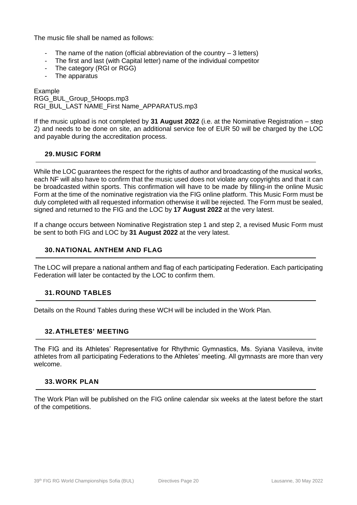The music file shall be named as follows:

- The name of the nation (official abbreviation of the country  $-3$  letters)
- The first and last (with Capital letter) name of the individual competitor
- The category (RGI or RGG)
- The apparatus

Example RGG\_BUL\_Group\_5Hoops.mp3 RGI\_BUL\_LAST NAME\_First Name\_APPARATUS.mp3

If the music upload is not completed by **31 August 2022** (i.e. at the Nominative Registration – step 2) and needs to be done on site, an additional service fee of EUR 50 will be charged by the LOC and payable during the accreditation process.

# <span id="page-19-0"></span>**29. MUSIC FORM**

While the LOC guarantees the respect for the rights of author and broadcasting of the musical works, each NF will also have to confirm that the music used does not violate any copyrights and that it can be broadcasted within sports. This confirmation will have to be made by filling-in the online Music Form at the time of the nominative registration via the FIG online platform. This Music Form must be duly completed with all requested information otherwise it will be rejected. The Form must be sealed, signed and returned to the FIG and the LOC by **17 August 2022** at the very latest.

If a change occurs between Nominative Registration step 1 and step 2, a revised Music Form must be sent to both FIG and LOC by **31 August 2022** at the very latest.

# <span id="page-19-1"></span>**30. NATIONAL ANTHEM AND FLAG**

The LOC will prepare a national anthem and flag of each participating Federation. Each participating Federation will later be contacted by the LOC to confirm them.

# <span id="page-19-2"></span>**31. ROUND TABLES**

Details on the Round Tables during these WCH will be included in the Work Plan.

#### <span id="page-19-3"></span>**32. ATHLETES' MEETING**

The FIG and its Athletes' Representative for Rhythmic Gymnastics, Ms. Syiana Vasileva, invite athletes from all participating Federations to the Athletes' meeting. All gymnasts are more than very welcome.

#### <span id="page-19-4"></span>**33.WORK PLAN**

The Work Plan will be published on the FIG online calendar six weeks at the latest before the start of the competitions.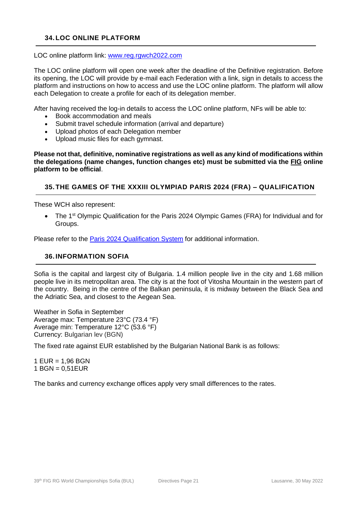# <span id="page-20-0"></span>**34. LOC ONLINE PLATFORM**

LOC online platform link: [www.reg.rgwch2022.com](http://www.reg.rgwch2022.com/)

The LOC online platform will open one week after the deadline of the Definitive registration. Before its opening, the LOC will provide by e-mail each Federation with a link, sign in details to access the platform and instructions on how to access and use the LOC online platform. The platform will allow each Delegation to create a profile for each of its delegation member.

After having received the log-in details to access the LOC online platform, NFs will be able to:

- Book accommodation and meals
- Submit travel schedule information (arrival and departure)
- Upload photos of each Delegation member
- Upload music files for each gymnast.

**Please not that, definitive, nominative registrations as well as any kind of modifications within the delegations (name changes, function changes etc) must be submitted via the FIG online platform to be official**.

# <span id="page-20-1"></span>**35. THE GAMES OF THE XXXIII OLYMPIAD PARIS 2024 (FRA) – QUALIFICATION**

These WCH also represent:

• The 1<sup>st</sup> Olympic Qualification for the Paris 2024 Olympic Games (FRA) for Individual and for Groups.

Please refer to the Paris 2024 [Qualification System](http://www.fig-gymnastics.com/site/rules/olympic) for additional information.

#### <span id="page-20-2"></span>**36. INFORMATION SOFIA**

Sofia is the capital and largest city of Bulgaria. 1.4 million people live in the city and 1.68 million people live in its metropolitan area. The city is at the foot of Vitosha Mountain in the western part of the country. Being in the centre of the Balkan peninsula, it is midway between the Black Sea and the Adriatic Sea, and closest to the Aegean Sea.

Weather in Sofia in September Average max: Temperature 23°C (73.4 °F) Average min: Temperature 12°C (53.6 °F) Currency: Bulgarian lev (BGN)

The fixed rate against EUR established by the Bulgarian National Bank is as follows:

1 EUR = 1,96 BGN 1 BGN = 0,51EUR

The banks and currency exchange offices apply very small differences to the rates.